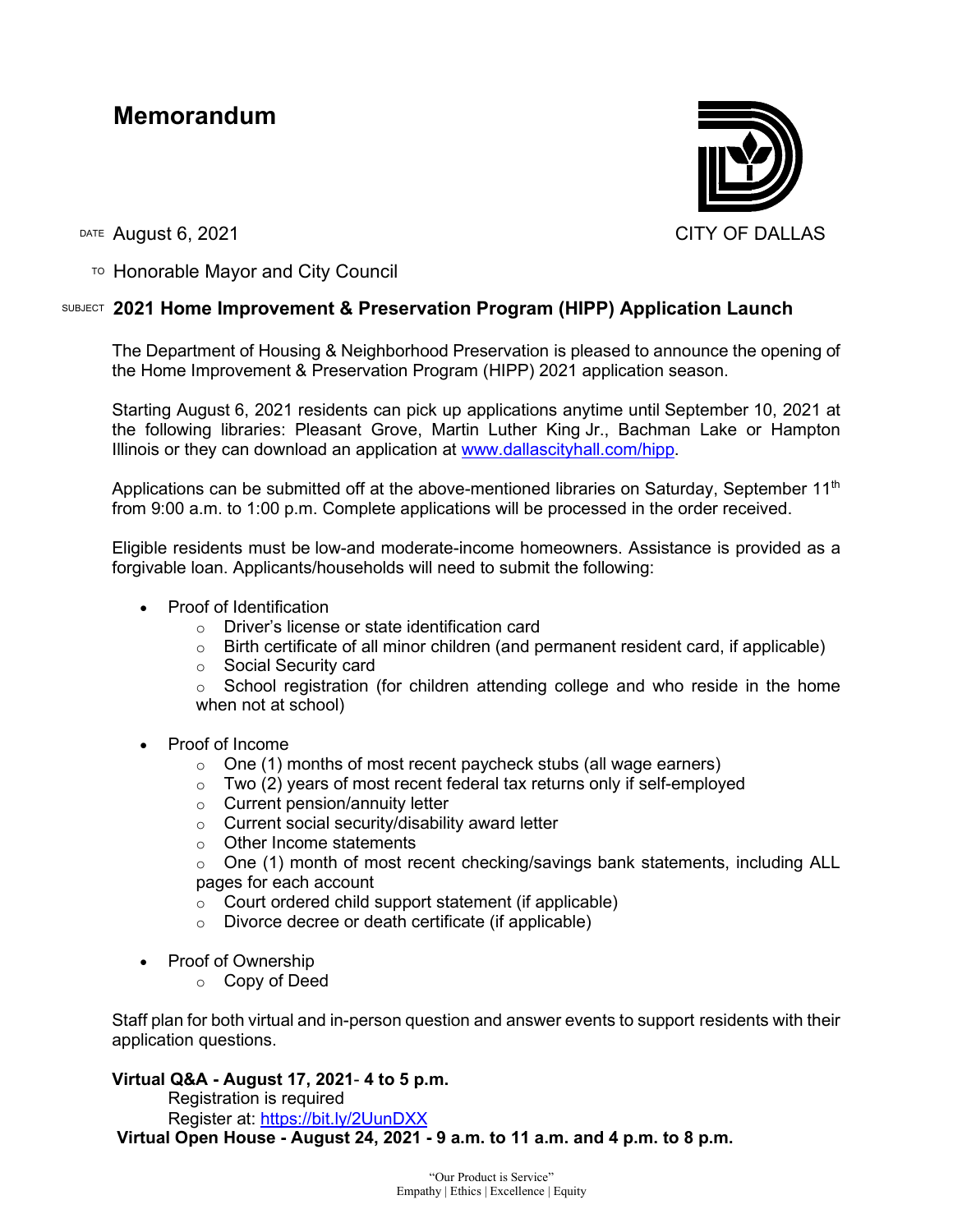# **Memorandum**



DATE August 6, 2021 CITY OF DALLAS

TO Honorable Mayor and City Council

## SUBJECT **2021 Home Improvement & Preservation Program (HIPP) Application Launch**

The Department of Housing & Neighborhood Preservation is pleased to announce the opening of the Home Improvement & Preservation Program (HIPP) 2021 application season.

Starting August 6, 2021 residents can pick up applications anytime until September 10, 2021 at the following libraries: Pleasant Grove, Martin Luther King Jr., Bachman Lake or Hampton Illinois or they can download an application at [www.dallascityhall.com/hipp.](http://www.dallascityhall.com/hipp)

Applications can be submitted off at the above-mentioned libraries on Saturday, September  $11<sup>th</sup>$ from 9:00 a.m. to 1:00 p.m. Complete applications will be processed in the order received.

Eligible residents must be low-and moderate-income homeowners. Assistance is provided as a forgivable loan. Applicants/households will need to submit the following:

- Proof of Identification
	- o Driver's license or state identification card
	- $\circ$  Birth certificate of all minor children (and permanent resident card, if applicable)
	- o Social Security card
	- $\circ$  School registration (for children attending college and who reside in the home when not at school)
- Proof of Income
	- o One (1) months of most recent paycheck stubs (all wage earners)
	- $\circ$  Two (2) years of most recent federal tax returns only if self-employed
	- o Current pension/annuity letter
	- o Current social security/disability award letter
	- o Other Income statements
	- o One (1) month of most recent checking/savings bank statements, including ALL pages for each account
	- o Court ordered child support statement (if applicable)
	- o Divorce decree or death certificate (if applicable)
- Proof of Ownership
	- o Copy of Deed

Staff plan for both virtual and in-person question and answer events to support residents with their application questions.

### **Virtual Q&A - August 17, 2021**- **4 to 5 p.m.**

Registration is required

Register at: <https://bit.ly/2UunDXX>

**Virtual Open House - August 24, 2021 - 9 a.m. to 11 a.m. and 4 p.m. to 8 p.m.**